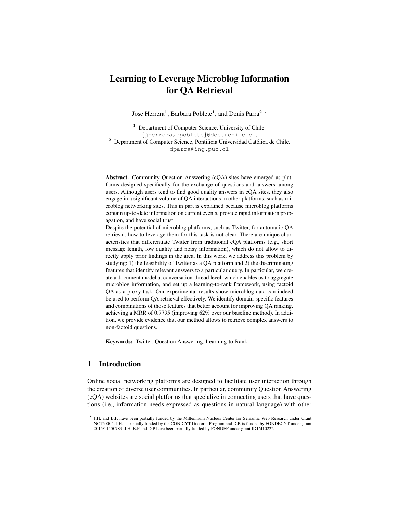# Learning to Leverage Microblog Information for QA Retrieval

Jose Herrera<sup>1</sup>, Barbara Poblete<sup>1</sup>, and Denis Parra<sup>2</sup>  $^{\star}$ 

<sup>1</sup> Department of Computer Science, University of Chile. {jherrera,bpoblete}@dcc.uchile.cl,  $2$  Department of Computer Science, Pontificia Universidad Católica de Chile. dparra@ing.puc.cl

Abstract. Community Question Answering (cQA) sites have emerged as platforms designed specifically for the exchange of questions and answers among users. Although users tend to find good quality answers in cQA sites, they also engage in a significant volume of QA interactions in other platforms, such as microblog networking sites. This in part is explained because microblog platforms contain up-to-date information on current events, provide rapid information propagation, and have social trust.

Despite the potential of microblog platforms, such as Twitter, for automatic QA retrieval, how to leverage them for this task is not clear. There are unique characteristics that differentiate Twitter from traditional cQA platforms (e.g., short message length, low quality and noisy information), which do not allow to directly apply prior findings in the area. In this work, we address this problem by studying: 1) the feasibility of Twitter as a QA platform and 2) the discriminating features that identify relevant answers to a particular query. In particular, we create a document model at conversation-thread level, which enables us to aggregate microblog information, and set up a learning-to-rank framework, using factoid QA as a proxy task. Our experimental results show microblog data can indeed be used to perform QA retrieval effectively. We identify domain-specific features and combinations of those features that better account for improving QA ranking, achieving a MRR of 0.7795 (improving 62% over our baseline method). In addition, we provide evidence that our method allows to retrieve complex answers to non-factoid questions.

Keywords: Twitter, Question Answering, Learning-to-Rank

## 1 Introduction

Online social networking platforms are designed to facilitate user interaction through the creation of diverse user communities. In particular, community Question Answering (cQA) websites are social platforms that specialize in connecting users that have questions (i.e., information needs expressed as questions in natural language) with other

<sup>?</sup> J.H. and B.P. have been partially funded by the Millennium Nucleus Center for Semantic Web Research under Grant NC120004. J.H. is partially funded by the CONICYT Doctoral Program and D.P. is funded by FONDECYT under grant 2015/11150783. J.H, B.P and D.P have been partially funded by FONDEF under grant ID16I10222.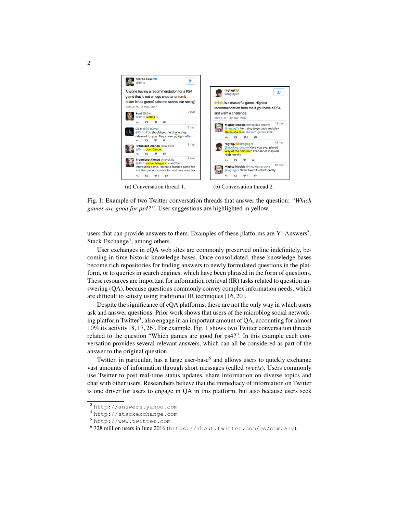

Fig. 1: Example of two Twitter conversation threads that answer the question: *"Which games are good for ps4?"*. User suggestions are highlighted in yellow.

users that can provide answers to them. Examples of these platforms are  $Y!$  Answers<sup>3</sup>, Stack Exchange<sup>4</sup>, among others.

User exchanges in cQA web sites are commonly preserved online indefinitely, becoming in time historic knowledge bases. Once consolidated, these knowledge bases become rich repositories for finding answers to newly formulated questions in the platform, or to queries in search engines, which have been phrased in the form of questions. These resources are important for information retrieval (IR) tasks related to question answering (QA), because questions commonly convey complex information needs, which are difficult to satisfy using traditional IR techniques [16, 20].

Despite the significance of cQA platforms, these are not the only way in which users ask and answer questions. Prior work shows that users of the microblog social networking platform Twitter $^5$ , also engage in an important amount of QA, accounting for almost 10% its activity [8, 17, 26]. For example, Fig. 1 shows two Twitter conversation threads related to the question "Which games are good for ps4?". In this example each conversation provides several relevant answers, which can all be considered as part of the answer to the original question.

Twitter, in particular, has a large user-base<sup>6</sup> and allows users to quickly exchange vast amounts of information through short messages (called *tweets*). Users commonly use Twitter to post real-time status updates, share information on diverse topics and chat with other users. Researchers believe that the immediacy of information on Twitter is one driver for users to engage in QA in this platform, but also because users seek

<sup>3</sup> http://answers.yahoo.com

<sup>4</sup> http://stackexchange.com

<sup>5</sup> http://www.twitter.com

 $^6$  328 million users in June 2016 (https://about.twitter.com/es/company).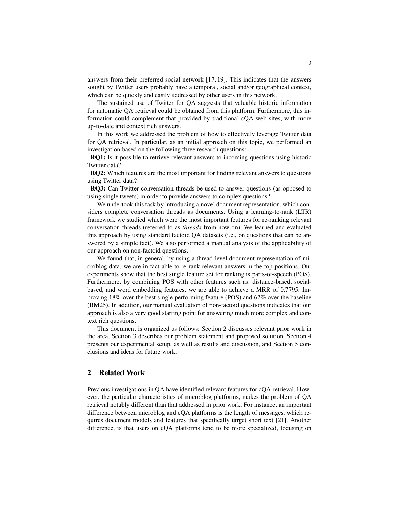answers from their preferred social network [17, 19]. This indicates that the answers sought by Twitter users probably have a temporal, social and/or geographical context, which can be quickly and easily addressed by other users in this network.

The sustained use of Twitter for QA suggests that valuable historic information for automatic QA retrieval could be obtained from this platform. Furthermore, this information could complement that provided by traditional cQA web sites, with more up-to-date and context rich answers.

In this work we addressed the problem of how to effectively leverage Twitter data for QA retrieval. In particular, as an initial approach on this topic, we performed an investigation based on the following three research questions:

RQ1: Is it possible to retrieve relevant answers to incoming questions using historic Twitter data?

RQ2: Which features are the most important for finding relevant answers to questions using Twitter data?

RQ3: Can Twitter conversation threads be used to answer questions (as opposed to using single tweets) in order to provide answers to complex questions?

We undertook this task by introducing a novel document representation, which considers complete conversation threads as documents. Using a learning-to-rank (LTR) framework we studied which were the most important features for re-ranking relevant conversation threads (referred to as *threads* from now on). We learned and evaluated this approach by using standard factoid QA datasets (i.e., on questions that can be answered by a simple fact). We also performed a manual analysis of the applicability of our approach on non-factoid questions.

We found that, in general, by using a thread-level document representation of microblog data, we are in fact able to re-rank relevant answers in the top positions. Our experiments show that the best single feature set for ranking is parts-of-speech (POS). Furthermore, by combining POS with other features such as: distance-based, socialbased, and word embedding features, we are able to achieve a MRR of 0.7795. Improving 18% over the best single performing feature (POS) and 62% over the baseline (BM25). In addition, our manual evaluation of non-factoid questions indicates that our approach is also a very good starting point for answering much more complex and context rich questions.

This document is organized as follows: Section 2 discusses relevant prior work in the area, Section 3 describes our problem statement and proposed solution. Section 4 presents our experimental setup, as well as results and discussion, and Section 5 conclusions and ideas for future work.

## 2 Related Work

Previous investigations in QA have identified relevant features for cQA retrieval. However, the particular characteristics of microblog platforms, makes the problem of QA retrieval notably different than that addressed in prior work. For instance, an important difference between microblog and cQA platforms is the length of messages, which requires document models and features that specifically target short text [21]. Another difference, is that users on cQA platforms tend to be more specialized, focusing on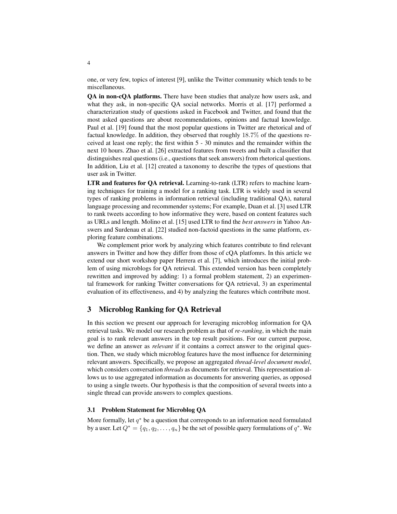one, or very few, topics of interest [9], unlike the Twitter community which tends to be miscellaneous.

QA in non-cQA platforms. There have been studies that analyze how users ask, and what they ask, in non-specific QA social networks. Morris et al. [17] performed a characterization study of questions asked in Facebook and Twitter, and found that the most asked questions are about recommendations, opinions and factual knowledge. Paul et al. [19] found that the most popular questions in Twitter are rhetorical and of factual knowledge. In addition, they observed that roughly 18.7% of the questions received at least one reply; the first within 5 - 30 minutes and the remainder within the next 10 hours. Zhao et al. [26] extracted features from tweets and built a classifier that distinguishes real questions (i.e., questions that seek answers) from rhetorical questions. In addition, Liu et al. [12] created a taxonomy to describe the types of questions that user ask in Twitter.

LTR and features for QA retrieval. Learning-to-rank (LTR) refers to machine learning techniques for training a model for a ranking task. LTR is widely used in several types of ranking problems in information retrieval (including traditional QA), natural language processing and recommender systems; For example, Duan et al. [3] used LTR to rank tweets according to how informative they were, based on content features such as URLs and length. Molino et al. [15] used LTR to find the *best answers* in Yahoo Answers and Surdenau et al. [22] studied non-factoid questions in the same platform, exploring feature combinations.

We complement prior work by analyzing which features contribute to find relevant answers in Twitter and how they differ from those of cQA platfomrs. In this article we extend our short workshop paper Herrera et al. [7], which introduces the initial problem of using microblogs for QA retrieval. This extended version has been completely rewritten and improved by adding: 1) a formal problem statement, 2) an experimental framework for ranking Twitter conversations for QA retrieval, 3) an experimental evaluation of its effectiveness, and 4) by analyzing the features which contribute most.

## 3 Microblog Ranking for QA Retrieval

In this section we present our approach for leveraging microblog information for QA retrieval tasks. We model our research problem as that of *re-ranking*, in which the main goal is to rank relevant answers in the top result positions. For our current purpose, we define an answer as *relevant* if it contains a correct answer to the original question. Then, we study which microblog features have the most influence for determining relevant answers. Specifically, we propose an aggregated *thread-level document model*, which considers conversation *threads* as documents for retrieval. This representation allows us to use aggregated information as documents for answering queries, as opposed to using a single tweets. Our hypothesis is that the composition of several tweets into a single thread can provide answers to complex questions.

## 3.1 Problem Statement for Microblog QA

More formally, let  $q^*$  be a question that corresponds to an information need formulated by a user. Let  $Q^* = \{q_1, q_2, \ldots, q_n\}$  be the set of possible query formulations of  $q^*$ . We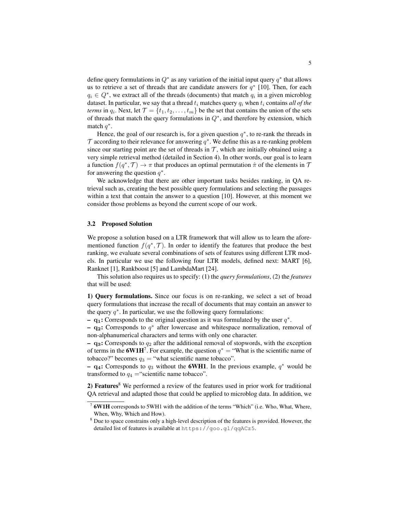define query formulations in  $Q^*$  as any variation of the initial input query  $q^*$  that allows us to retrieve a set of threads that are candidate answers for  $q^*$  [10]. Then, for each  $q_i \in Q^*$ , we extract all of the threads (documents) that match  $q_i$  in a given microblog dataset. In particular, we say that a thread  $t_i$  matches query  $q_i$  when  $t_i$  contains *all of the terms* in  $q_i$ . Next, let  $\mathcal{T} = \{t_1, t_2, \dots, t_m\}$  be the set that contains the union of the sets of threads that match the query formulations in  $Q^*$ , and therefore by extension, which match  $q^*$ .

Hence, the goal of our research is, for a given question  $q^*$ , to re-rank the threads in  $\mathcal T$  according to their relevance for answering  $q^*$ . We define this as a re-ranking problem since our starting point are the set of threads in  $T$ , which are initially obtained using a very simple retrieval method (detailed in Section 4). In other words, our goal is to learn a function  $f(q^*, \mathcal{T}) \to \pi$  that produces an optimal permutation  $\hat{\pi}$  of the elements in  $\mathcal{T}$ for answering the question  $q^*$ .

We acknowledge that there are other important tasks besides ranking, in QA retrieval such as, creating the best possible query formulations and selecting the passages within a text that contain the answer to a question [10]. However, at this moment we consider those problems as beyond the current scope of our work.

#### 3.2 Proposed Solution

We propose a solution based on a LTR framework that will allow us to learn the aforementioned function  $f(q^*, \mathcal{T})$ . In order to identify the features that produce the best ranking, we evaluate several combinations of sets of features using different LTR models. In particular we use the following four LTR models, defined next: MART [6], Ranknet [1], Rankboost [5] and LambdaMart [24].

This solution also requires us to specify: (1) the *query formulations*, (2) the *features* that will be used:

1) Query formulations. Since our focus is on re-ranking, we select a set of broad query formulations that increase the recall of documents that may contain an answer to the query  $q^*$ . In particular, we use the following query formulations:

-  $q_1$ : Corresponds to the original question as it was formulated by the user  $q^*$ .

 $-$  q<sub>2</sub>: Corresponds to  $q^*$  after lowercase and whitespace normalization, removal of non-alphanumerical characters and terms with only one character.

-  $q_3$ : Corresponds to  $q_2$  after the additional removal of stopwords, with the exception of terms in the 6W1H<sup>7</sup>. For example, the question  $q^* =$  "What is the scientific name of tobacco?" becomes  $q_3$  = "what scientific name tobacco".

 $-$  q<sub>4</sub>: Corresponds to  $q_3$  without the 6WH1. In the previous example,  $q^*$  would be transformed to  $q_4$  = "scientific name tobacco".

2) Features<sup>8</sup> We performed a review of the features used in prior work for traditional QA retrieval and adapted those that could be applied to microblog data. In addition, we

 $76$  W1H corresponds to 5WH1 with the addition of the terms "Which" (i.e. Who, What, Where, When, Why, Which and How).

<sup>&</sup>lt;sup>8</sup> Due to space constrains only a high-level description of the features is provided. However, the detailed list of features is available at https://goo.gl/qqACz5.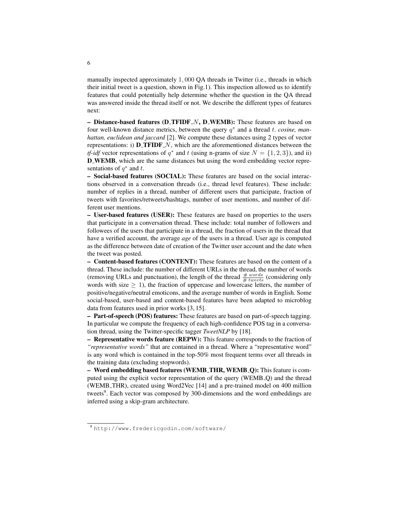manually inspected approximately 1, 000 QA threads in Twitter (i.e., threads in which their initial tweet is a question, shown in Fig.1). This inspection allowed us to identify features that could potentially help determine whether the question in the QA thread was answered inside the thread itself or not. We describe the different types of features next:

– Distance-based features (D\_TFIDF\_N, D\_WEMB): These features are based on four well-known distance metrics, between the query  $q^*$  and a thread t. cosine, man*hattan, euclidean and jaccard* [2]. We compute these distances using 2 types of vector representations: i)  $D$ <sub>-</sub>TFIDF<sub>-</sub>N, which are the aforementioned distances between the *tf-idf* vector representations of  $q^*$  and t (using n-grams of size  $N = \{1, 2, 3\}$ ), and ii) D WEMB, which are the same distances but using the word embedding vector representations of  $q^*$  and t.

– Social-based features (SOCIAL): These features are based on the social interactions observed in a conversation threads (i.e., thread level features). These include: number of replies in a thread, number of different users that participate, fraction of tweets with favorites/retweets/hashtags, number of user mentions, and number of different user mentions.

– User-based features (USER): These features are based on properties to the users that participate in a conversation thread. These include: total number of followers and followees of the users that participate in a thread, the fraction of users in the thread that have a verified account, the average *age* of the users in a thread. User age is computed as the difference between date of creation of the Twitter user account and the date when the tweet was posted.

– Content-based features (CONTENT): These features are based on the content of a thread. These include: the number of different URLs in the thread, the number of words (removing URLs and punctuation), the length of the thread  $\frac{\text{# words}}{\text{# tweets}}$  (considering only words with size  $\geq$  1), the fraction of uppercase and lowercase letters, the number of positive/negative/neutral emoticons, and the average number of words in English. Some social-based, user-based and content-based features have been adapted to microblog data from features used in prior works [3, 15].

– Part-of-speech (POS) features: These features are based on part-of-speech tagging. In particular we compute the frequency of each high-confidence POS tag in a conversation thread, using the Twitter-specific tagger *TweetNLP* by [18].

– Representative words feature (REPW): This feature corresponds to the fraction of *"representative words"* that are contained in a thread. Where a "representative word" is any word which is contained in the top-50% most frequent terms over all threads in the training data (excluding stopwords).

- Word embedding based features (WEMB\_THR, WEMB\_Q): This feature is computed using the explicit vector representation of the query (WEMB<sub>-Q</sub>) and the thread (WEMB THR), created using Word2Vec [14] and a pre-trained model on 400 million tweets<sup>9</sup>. Each vector was composed by 300-dimensions and the word embeddings are inferred using a skip-gram architecture.

6

<sup>9</sup> http://www.fredericgodin.com/software/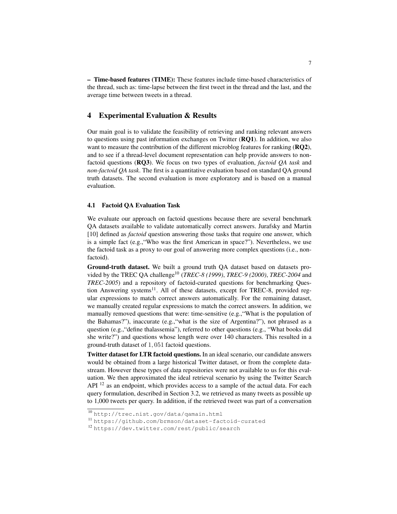– Time-based features (TIME): These features include time-based characteristics of the thread, such as: time-lapse between the first tweet in the thread and the last, and the average time between tweets in a thread.

## 4 Experimental Evaluation & Results

Our main goal is to validate the feasibility of retrieving and ranking relevant answers to questions using past information exchanges on Twitter (RQ1). In addition, we also want to measure the contribution of the different microblog features for ranking (**RQ2**), and to see if a thread-level document representation can help provide answers to nonfactoid questions (RQ3). We focus on two types of evaluation, *factoid QA task* and *non-factoid QA task*. The first is a quantitative evaluation based on standard QA ground truth datasets. The second evaluation is more exploratory and is based on a manual evaluation.

### 4.1 Factoid QA Evaluation Task

We evaluate our approach on factoid questions because there are several benchmark QA datasets available to validate automatically correct answers. Jurafsky and Martin [10] defined as *factoid* question answering those tasks that require one answer, which is a simple fact (e.g.,"Who was the first American in space?"). Nevertheless, we use the factoid task as a proxy to our goal of answering more complex questions (i.e., nonfactoid).

Ground-truth dataset. We built a ground truth QA dataset based on datasets provided by the TREC QA challenge<sup>10</sup> (*TREC-8 (1999)*, *TREC-9 (2000)*, *TREC-2004* and *TREC-2005*) and a repository of factoid-curated questions for benchmarking Question Answering systems<sup>11</sup>. All of these datasets, except for TREC-8, provided regular expressions to match correct answers automatically. For the remaining dataset, we manually created regular expressions to match the correct answers. In addition, we manually removed questions that were: time-sensitive (e.g.,"What is the population of the Bahamas?"), inaccurate (e.g.,"what is the size of Argentina?"), not phrased as a question (e.g.,"define thalassemia"), referred to other questions (e.g., "What books did she write?") and questions whose length were over 140 characters. This resulted in a ground-truth dataset of 1, 051 factoid questions.

Twitter dataset for LTR factoid questions. In an ideal scenario, our candidate answers would be obtained from a large historical Twitter dataset, or from the complete datastream. However these types of data repositories were not available to us for this evaluation. We then approximated the ideal retrieval scenario by using the Twitter Search API <sup>12</sup> as an endpoint, which provides access to a sample of the actual data. For each query formulation, described in Section 3.2, we retrieved as many tweets as possible up to 1,000 tweets per query. In addition, if the retrieved tweet was part of a conversation

<sup>10</sup> http://trec.nist.gov/data/qamain.html

<sup>11</sup> https://github.com/brmson/dataset-factoid-curated

<sup>12</sup> https://dev.twitter.com/rest/public/search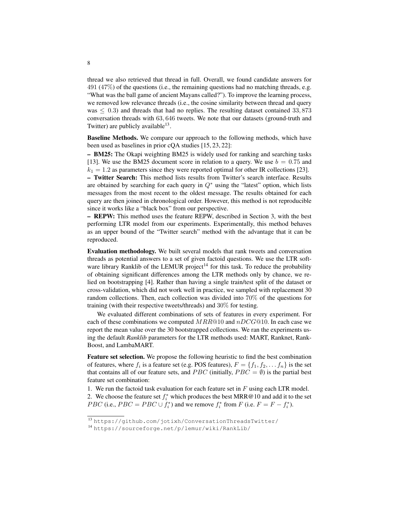thread we also retrieved that thread in full. Overall, we found candidate answers for  $491 (47%)$  of the questions (i.e., the remaining questions had no matching threads, e.g. "What was the ball game of ancient Mayans called?"). To improve the learning process, we removed low relevance threads (i.e., the cosine similarity between thread and query was  $\leq$  0.3) and threads that had no replies. The resulting dataset contained 33,873 conversation threads with 63, 646 tweets. We note that our datasets (ground-truth and Twitter) are publicly available $^{13}$ .

Baseline Methods. We compare our approach to the following methods, which have been used as baselines in prior cQA studies [15, 23, 22]:

– BM25: The Okapi weighting BM25 is widely used for ranking and searching tasks [13]. We use the BM25 document score in relation to a query. We use  $b = 0.75$  and  $k_1 = 1.2$  as parameters since they were reported optimal for other IR collections [23]. – Twitter Search: This method lists results from Twitter's search interface. Results are obtained by searching for each query in  $Q^*$  using the "latest" option, which lists messages from the most recent to the oldest message. The results obtained for each query are then joined in chronological order. However, this method is not reproducible since it works like a "black box" from our perspective.

– REPW: This method uses the feature REPW, described in Section 3, with the best performing LTR model from our experiments. Experimentally, this method behaves as an upper bound of the "Twitter search" method with the advantage that it can be reproduced.

Evaluation methodology. We built several models that rank tweets and conversation threads as potential answers to a set of given factoid questions. We use the LTR software library Ranklib of the LEMUR project<sup>14</sup> for this task. To reduce the probability of obtaining significant differences among the LTR methods only by chance, we relied on bootstrapping [4]. Rather than having a single train/test split of the dataset or cross-validation, which did not work well in practice, we sampled with replacement 30 random collections. Then, each collection was divided into 70% of the questions for training (with their respective tweets/threads) and 30% for testing.

We evaluated different combinations of sets of features in every experiment. For each of these combinations we computed  $MRR@10$  and  $nDCG@10$ . In each case we report the mean value over the 30 bootstrapped collections. We ran the experiments using the default *Ranklib* parameters for the LTR methods used: MART, Ranknet, Rank-Boost, and LambaMART.

Feature set selection. We propose the following heuristic to find the best combination of features, where  $f_i$  is a feature set (e.g. POS features),  $F = \{f_1, f_2, \dots f_n\}$  is the set that contains all of our feature sets, and *PBC* (initially, *PBC* =  $\emptyset$ ) is the partial best feature set combination:

1. We run the factoid task evaluation for each feature set in  $F$  using each LTR model. 2. We choose the feature set  $f_i^*$  which produces the best MRR@10 and add it to the set *PBC* (i.e., *PBC* = *PBC*  $\cup$   $f_i^*$ ) and we remove  $f_i^*$  from *F* (i.e.  $F = F - f_i^*$ ).

<sup>13</sup> https://github.com/jotixh/ConversationThreadsTwitter/

<sup>14</sup> https://sourceforge.net/p/lemur/wiki/RankLib/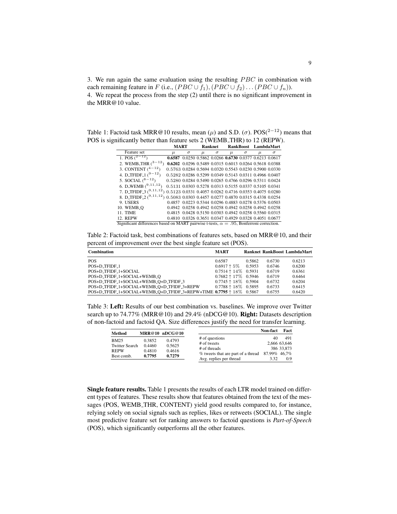3. We run again the same evaluation using the resulting  $PBC$  in combination with each remaining feature in F (i.e.,  $(PBC \cup f_1), (PBC \cup f_2) \dots (PBC \cup f_n)$ ).

4. We repeat the process from the step (2) until there is no significant improvement in the MRR@10 value.

Table 1: Factoid task MRR@10 results, mean ( $\mu$ ) and S.D. ( $\sigma$ ). POS(<sup>2-12</sup>) means that POS is significantly better than feature sets 2 (WEMB THR) to 12 (REPW).

|                                                                                                 | <b>MART</b>                                             |          | Ranknet |          | RankBoost LambdaMart |          |       |          |
|-------------------------------------------------------------------------------------------------|---------------------------------------------------------|----------|---------|----------|----------------------|----------|-------|----------|
| Feature set                                                                                     | $\mu$                                                   | $\sigma$ | $\mu$   | $\sigma$ | $\mu$                | $\sigma$ | $\mu$ | $\sigma$ |
| 1. POS $(^{2-12})$                                                                              | 0.6587 0.0250 0.5862 0.0266 0.6730 0.0377 0.6213 0.0617 |          |         |          |                      |          |       |          |
| 2. WEMB_THR $(^{3-12})$                                                                         | 0.6202 0.0296 0.5489 0.0315 0.6013 0.0264 0.5618 0.0388 |          |         |          |                      |          |       |          |
| 3. CONTENT $(4-12)$                                                                             | 0.5763 0.0284 0.5694 0.0320 0.5543 0.0230 0.5900 0.0330 |          |         |          |                      |          |       |          |
| 4. D_TFIDF_1 $(^{9-12})$                                                                        | 0.5282 0.0286 0.5299 0.0349 0.5143 0.0311 0.4966 0.0407 |          |         |          |                      |          |       |          |
| 5. SOCIAL $(^{8-12})$                                                                           | 0.5280 0.0284 0.5490 0.0265 0.4766 0.0296 0.5311 0.0424 |          |         |          |                      |          |       |          |
| 6. D_WEMB $(^{9,11,12})$                                                                        | 0.5131 0.0303 0.5278 0.0313 0.5155 0.0337 0.5105 0.0341 |          |         |          |                      |          |       |          |
| 7. D_TFIDF_3 (9,11,12) 0.5123 0.0331 0.4057 0.0262 0.4716 0.0353 0.4075 0.0280                  |                                                         |          |         |          |                      |          |       |          |
| 8. D_TFIDF_2 (9,11,12) 0.5083 0.0303 0.4457 0.0277 0.4870 0.0315 0.4338 0.0254                  |                                                         |          |         |          |                      |          |       |          |
| 9. USERS                                                                                        | 0.4857 0.0223 0.5344 0.0296 0.4883 0.0278 0.5376 0.0503 |          |         |          |                      |          |       |          |
| 10. WEMB <sub>-O</sub>                                                                          | 0.4942 0.0258 0.4942 0.0258 0.4942 0.0258 0.4942 0.0258 |          |         |          |                      |          |       |          |
| 11. TIME                                                                                        | 0.4815 0.0428 0.5150 0.0303 0.4942 0.0258 0.5560 0.0315 |          |         |          |                      |          |       |          |
| <b>12. REPW</b>                                                                                 | 0.4810 0.0326 0.3651 0.0347 0.4929 0.0328 0.4051 0.0677 |          |         |          |                      |          |       |          |
| Significant differences based on MART pairwise t-tests, $\alpha = .95$ , Bonferroni correction. |                                                         |          |         |          |                      |          |       |          |

Table 2: Factoid task, best combinations of features sets, based on MRR@10, and their percent of improvement over the best single feature set (POS).

| <b>Combination</b>                                                           | <b>MART</b>                   |        |        | <b>Ranknet RankBoost LambdaMart</b> |
|------------------------------------------------------------------------------|-------------------------------|--------|--------|-------------------------------------|
| <b>POS</b>                                                                   | 0.6587                        | 0.5862 | 0.6730 | 0.6213                              |
| $POS+D$ TFIDF 1                                                              | $0.6917 \uparrow 5\%$ 0.5953  |        | 0.6746 | 0.6200                              |
| POS+D_TFIDF_1+SOCIAL                                                         | $0.7514 \uparrow 14\%$ 0.5931 |        | 0.6719 | 0.6361                              |
| POS+D_TFIDF_1+SOCIAL+WEMB_O                                                  | $0.7682 \uparrow 17\%$ 0.5946 |        | 0.6719 | 0.6464                              |
| POS+D_TFIDF_1+SOCIAL+WEMB_Q+D_TFIDF_3                                        | $0.7745 \uparrow 18\%$ 0.5904 |        | 0.6732 | 0.6204                              |
| POS+D_TFIDF_1+SOCIAL+WEMB_O+D_TFIDF_3+REPW                                   | $0.7788 \uparrow 18\%$ 0.5895 |        | 0.6733 | 0.6415                              |
| POS+D_TFIDF_1+SOCIAL+WEMB_O+D_TFIDF_3+REPW+TIME 0.7795 $\uparrow$ 18% 0.5867 |                               |        | 0.6755 | 0.6420                              |

Table 3: Left: Results of our best combination vs. baselines. We improve over Twitter search up to 74.77% (MRR@10) and 29.4% (nDCG@10). Right: Datasets description of non-factoid and factoid QA. Size differences justify the need for transfer learning.

| Method                |        | MRR@10 nDCG@10 |                                    | <b>Non-fact</b> |  |
|-----------------------|--------|----------------|------------------------------------|-----------------|--|
| <b>BM25</b>           |        |                | # of questions                     | 40              |  |
|                       | 0.3852 | 0.4793         | # of tweets                        | 2,666 63,646    |  |
| <b>Twitter Search</b> | 0.4460 | 0.5625         | $#$ of threads                     | 386 33,873      |  |
|                       | 0.4810 | 0.4616         |                                    |                 |  |
| Best comb.            | 0.7795 | 0.7279         | % tweets that are part of a thread | 87.99% 46.7%    |  |
|                       |        |                | Avg. replies per thread            | 332             |  |

Single feature results. Table 1 presents the results of each LTR model trained on different types of features. These results show that features obtained from the text of the messages (POS, WEMB THR, CONTENT) yield good results compared to, for instance, relying solely on social signals such as replies, likes or retweets (SOCIAL). The single most predictive feature set for ranking answers to factoid questions is *Part-of-Speech* (POS), which significantly outperforms all the other features.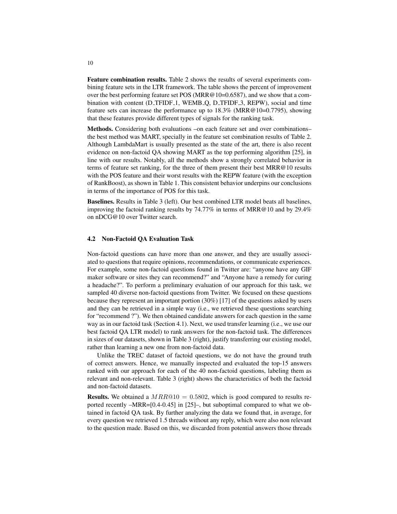Feature combination results. Table 2 shows the results of several experiments combining feature sets in the LTR framework. The table shows the percent of improvement over the best performing feature set POS (MRR $@10=0.6587$ ), and we show that a combination with content (D\_TFIDF\_1, WEMB\_Q, D\_TFIDF\_3, REPW), social and time feature sets can increase the performance up to 18.3% (MRR@10=0.7795), showing that these features provide different types of signals for the ranking task.

Methods. Considering both evaluations –on each feature set and over combinations– the best method was MART, specially in the feature set combination results of Table 2. Although LambdaMart is usually presented as the state of the art, there is also recent evidence on non-factoid QA showing MART as the top performing algorithm [25], in line with our results. Notably, all the methods show a strongly correlated behavior in terms of feature set ranking, for the three of them present their best MRR@10 results with the POS feature and their worst results with the REPW feature (with the exception of RankBoost), as shown in Table 1. This consistent behavior underpins our conclusions in terms of the importance of POS for this task.

Baselines. Results in Table 3 (left). Our best combined LTR model beats all baselines, improving the factoid ranking results by 74.77% in terms of MRR@10 and by 29.4% on nDCG@10 over Twitter search.

#### 4.2 Non-Factoid QA Evaluation Task

Non-factoid questions can have more than one answer, and they are usually associated to questions that require opinions, recommendations, or communicate experiences. For example, some non-factoid questions found in Twitter are: "anyone have any GIF maker software or sites they can recommend?" and "Anyone have a remedy for curing a headache?". To perform a preliminary evaluation of our approach for this task, we sampled 40 diverse non-factoid questions from Twitter. We focused on these questions because they represent an important portion (30%) [17] of the questions asked by users and they can be retrieved in a simple way (i.e., we retrieved these questions searching for "recommend ?"). We then obtained candidate answers for each question in the same way as in our factoid task (Section 4.1). Next, we used transfer learning (i.e., we use our best factoid QA LTR model) to rank answers for the non-factoid task. The differences in sizes of our datasets, shown in Table 3 (right), justify transferring our existing model, rather than learning a new one from non-factoid data.

Unlike the TREC dataset of factoid questions, we do not have the ground truth of correct answers. Hence, we manually inspected and evaluated the top-15 answers ranked with our approach for each of the 40 non-factoid questions, labeling them as relevant and non-relevant. Table 3 (right) shows the characteristics of both the factoid and non-factoid datasets.

**Results.** We obtained a  $MRR@10 = 0.5802$ , which is good compared to results reported recently –MRR=[0.4-0.45] in [25]–, but suboptimal compared to what we obtained in factoid QA task. By further analyzing the data we found that, in average, for every question we retrieved 1.5 threads without any reply, which were also non relevant to the question made. Based on this, we discarded from potential answers those threads

10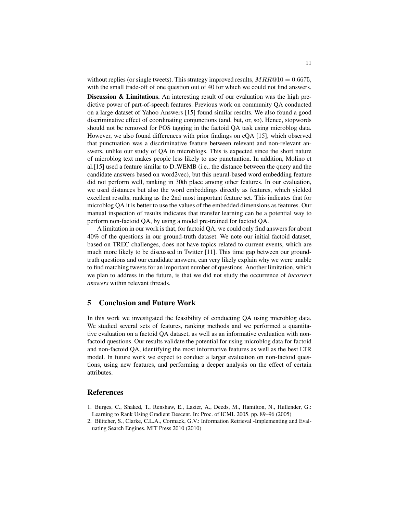without replies (or single tweets). This strategy improved results,  $MRR@10 = 0.6675$ , with the small trade-off of one question out of 40 for which we could not find answers.

Discussion & Limitations. An interesting result of our evaluation was the high predictive power of part-of-speech features. Previous work on community QA conducted on a large dataset of Yahoo Answers [15] found similar results. We also found a good discriminative effect of coordinating conjunctions (and, but, or, so). Hence, stopwords should not be removed for POS tagging in the factoid QA task using microblog data. However, we also found differences with prior findings on cQA [15], which observed that punctuation was a discriminative feature between relevant and non-relevant answers, unlike our study of QA in microblogs. This is expected since the short nature of microblog text makes people less likely to use punctuation. In addition, Molino et al.[15] used a feature similar to D WEMB (i.e., the distance between the query and the candidate answers based on word2vec), but this neural-based word embedding feature did not perform well, ranking in 30th place among other features. In our evaluation, we used distances but also the word embeddings directly as features, which yielded excellent results, ranking as the 2nd most important feature set. This indicates that for microblog QA it is better to use the values of the embedded dimensions as features. Our manual inspection of results indicates that transfer learning can be a potential way to perform non-factoid QA, by using a model pre-trained for factoid QA.

A limitation in our work is that, for factoid QA, we could only find answers for about 40% of the questions in our ground-truth dataset. We note our initial factoid dataset, based on TREC challenges, does not have topics related to current events, which are much more likely to be discussed in Twitter [11]. This time gap between our groundtruth questions and our candidate answers, can very likely explain why we were unable to find matching tweets for an important number of questions. Another limitation, which we plan to address in the future, is that we did not study the occurrence of *incorrect answers* within relevant threads.

## 5 Conclusion and Future Work

In this work we investigated the feasibility of conducting QA using microblog data. We studied several sets of features, ranking methods and we performed a quantitative evaluation on a factoid QA dataset, as well as an informative evaluation with nonfactoid questions. Our results validate the potential for using microblog data for factoid and non-factoid QA, identifying the most informative features as well as the best LTR model. In future work we expect to conduct a larger evaluation on non-factoid questions, using new features, and performing a deeper analysis on the effect of certain attributes.

## References

- 1. Burges, C., Shaked, T., Renshaw, E., Lazier, A., Deeds, M., Hamilton, N., Hullender, G.: Learning to Rank Using Gradient Descent. In: Proc. of ICML 2005. pp. 89–96 (2005)
- 2. Büttcher, S., Clarke, C.L.A., Cormack, G.V.: Information Retrieval -Implementing and Evaluating Search Engines. MIT Press 2010 (2010)